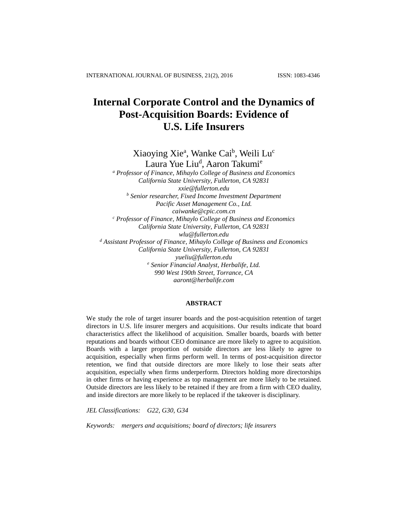# **Internal Corporate Control and the Dynamics of Post-Acquisition Boards: Evidence of U.S. Life Insurers**

Xiaoying Xie<sup>a</sup>, Wanke Cai<sup>b</sup>, Weili Lu<sup>c</sup>

Laura Yue Liu<sup>d</sup>, Aaron Takumi<sup>e</sup> *<sup>a</sup> Professor of Finance, Mihaylo College of Business and Economics California State University, Fullerton, CA 92831 [xxie@fullerton.edu](mailto:xxie@fullerton.edu) <sup>b</sup> Senior researcher, Fixed Income Investment Department Pacific Asset Management Co., Ltd. [caiwanke@cpic.com.cn](mailto:caiwanke@cpic.com.cn) <sup>c</sup> Professor of Finance, Mihaylo College of Business and Economics California State University, Fullerton, CA 92831 [wlu@fullerton.edu](mailto:wlu@fullerton.edu) <sup>d</sup> Assistant Professor of Finance, Mihaylo College of Business and Economics California State University, Fullerton, CA 92831 [yueliu@fullerton.edu](mailto:yueliu@fullerton.edu) <sup>e</sup> Senior Financial Analyst, Herbalife, Ltd. 990 West 190th Street, Torrance, CA [aaront@herbalife.com](mailto:aaront@herbalife.com)*

## **ABSTRACT**

We study the role of target insurer boards and the post-acquisition retention of target directors in U.S. life insurer mergers and acquisitions. Our results indicate that board characteristics affect the likelihood of acquisition. Smaller boards, boards with better reputations and boards without CEO dominance are more likely to agree to acquisition. Boards with a larger proportion of outside directors are less likely to agree to acquisition, especially when firms perform well. In terms of post-acquisition director retention, we find that outside directors are more likely to lose their seats after acquisition, especially when firms underperform. Directors holding more directorships in other firms or having experience as top management are more likely to be retained. Outside directors are less likely to be retained if they are from a firm with CEO duality, and inside directors are more likely to be replaced if the takeover is disciplinary.

*JEL Classifications: G22, G30, G34* 

*Keywords: mergers and acquisitions; board of directors; life insurers*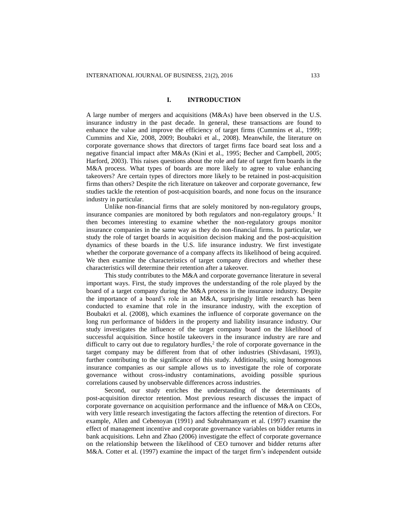## **I. INTRODUCTION**

A large number of mergers and acquisitions (M&As) have been observed in the U.S. insurance industry in the past decade. In general, these transactions are found to enhance the value and improve the efficiency of target firms (Cummins et al., 1999; Cummins and Xie, 2008, 2009; Boubakri et al., 2008). Meanwhile, the literature on corporate governance shows that directors of target firms face board seat loss and a negative financial impact after M&As (Kini et al., 1995; Becher and Campbell, 2005; Harford, 2003). This raises questions about the role and fate of target firm boards in the M&A process. What types of boards are more likely to agree to value enhancing takeovers? Are certain types of directors more likely to be retained in post-acquisition firms than others? Despite the rich literature on takeover and corporate governance, few studies tackle the retention of post-acquisition boards, and none focus on the insurance industry in particular.

Unlike non-financial firms that are solely monitored by non-regulatory groups, insurance companies are monitored by both regulators and non-regulatory groups.<sup>1</sup> It then becomes interesting to examine whether the non-regulatory groups monitor insurance companies in the same way as they do non-financial firms. In particular, we study the role of target boards in acquisition decision making and the post-acquisition dynamics of these boards in the U.S. life insurance industry. We first investigate whether the corporate governance of a company affects its likelihood of being acquired. We then examine the characteristics of target company directors and whether these characteristics will determine their retention after a takeover.

This study contributes to the M&A and corporate governance literature in several important ways. First, the study improves the understanding of the role played by the board of a target company during the M&A process in the insurance industry. Despite the importance of a board's role in an M&A, surprisingly little research has been conducted to examine that role in the insurance industry, with the exception of Boubakri et al. (2008), which examines the influence of corporate governance on the long run performance of bidders in the property and liability insurance industry. Our study investigates the influence of the target company board on the likelihood of successful acquisition. Since hostile takeovers in the insurance industry are rare and difficult to carry out due to regulatory hurdles, $<sup>2</sup>$  the role of corporate governance in the</sup> target company may be different from that of other industries (Shivdasani, 1993), further contributing to the significance of this study. Additionally, using homogenous insurance companies as our sample allows us to investigate the role of corporate governance without cross-industry contaminations, avoiding possible spurious correlations caused by unobservable differences across industries.

Second, our study enriches the understanding of the determinants of post-acquisition director retention. Most previous research discusses the impact of corporate governance on acquisition performance and the influence of M&A on CEOs, with very little research investigating the factors affecting the retention of directors. For example, Allen and Cebenoyan (1991) and Subrahmanyam et al. (1997) examine the effect of management incentive and corporate governance variables on bidder returns in bank acquisitions. Lehn and Zhao (2006) investigate the effect of corporate governance on the relationship between the likelihood of CEO turnover and bidder returns after M&A. Cotter et al. (1997) examine the impact of the target firm's independent outside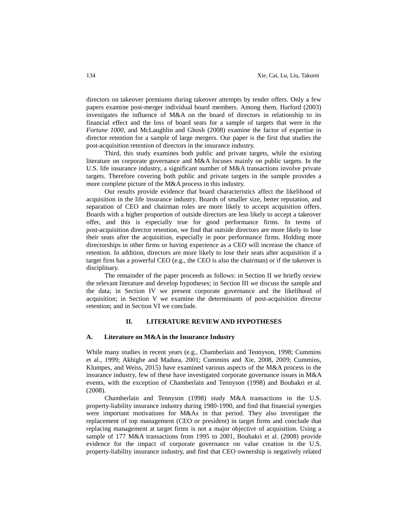directors on takeover premiums during takeover attempts by tender offers. Only a few papers examine post-merger individual board members. Among them, Harford (2003) investigates the influence of M&A on the board of directors in relationship to its financial effect and the loss of board seats for a sample of targets that were in the *Fortune 1000*, and McLaughlin and Ghosh (2008) examine the factor of expertise in director retention for a sample of large mergers. Our paper is the first that studies the post-acquisition retention of directors in the insurance industry.

Third, this study examines both public and private targets, while the existing literature on corporate governance and M&A focuses mainly on public targets. In the U.S. life insurance industry, a significant number of M&A transactions involve private targets. Therefore covering both public and private targets in the sample provides a more complete picture of the M&A process in this industry.

Our results provide evidence that board characteristics affect the likelihood of acquisition in the life insurance industry. Boards of smaller size, better reputation, and separation of CEO and chairman roles are more likely to accept acquisition offers. Boards with a higher proportion of outside directors are less likely to accept a takeover offer, and this is especially true for good performance firms. In terms of post-acquisition director retention, we find that outside directors are more likely to lose their seats after the acquisition, especially in poor performance firms. Holding more directorships in other firms or having experience as a CEO will increase the chance of retention. In addition, directors are more likely to lose their seats after acquisition if a target firm has a powerful CEO (e.g., the CEO is also the chairman) or if the takeover is disciplinary.

The remainder of the paper proceeds as follows: in Section II we briefly review the relevant literature and develop hypotheses; in Section III we discuss the sample and the data; in Section IV we present corporate governance and the likelihood of acquisition; in Section V we examine the determinants of post-acquisition director retention; and in Section VI we conclude.

# **II. LITERATURE REVIEW AND HYPOTHESES**

#### **A. Literature on M&A in the Insurance Industry**

While many studies in recent years (e.g., Chamberlain and Tennyson, 1998; Cummins et al., 1999; Akhigbe and Madura, 2001; Cummins and Xie, 2008, 2009; Cummins, Klumpes, and Weiss, 2015) have examined various aspects of the M&A process in the insurance industry, few of these have investigated corporate governance issues in M&A events, with the exception of Chamberlain and Tennyson (1998) and Boubakri et al. (2008).

Chamberlain and Tennyson (1998) study M&A transactions in the U.S. property-liability insurance industry during 1980-1990, and find that financial synergies were important motivations for M&As in that period. They also investigate the replacement of top management (CEO or president) in target firms and conclude that replacing management at target firms is not a major objective of acquisition. Using a sample of 177 M&A transactions from 1995 to 2001, Boubakri et al. (2008) provide evidence for the impact of corporate governance on value creation in the U.S. property-liability insurance industry, and find that CEO ownership is negatively related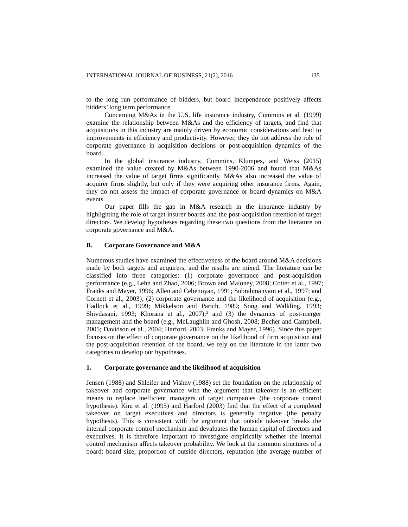to the long run performance of bidders, but board independence positively affects bidders' long term performance.

Concerning M&As in the U.S. life insurance industry, Cummins et al. (1999) examine the relationship between M&As and the efficiency of targets, and find that acquisitions in this industry are mainly driven by economic considerations and lead to improvements in efficiency and productivity. However, they do not address the role of corporate governance in acquisition decisions or post-acquisition dynamics of the board.

In the global insurance industry, Cummins, Klumpes, and Weiss (2015) examined the value created by M&As between 1990-2006 and found that M&As increased the value of target firms significantly. M&As also increased the value of acquirer firms slightly, but only if they were acquiring other insurance firms. Again, they do not assess the impact of corporate governance or board dynamics on M&A events.

Our paper fills the gap in M&A research in the insurance industry by highlighting the role of target insurer boards and the post-acquisition retention of target directors. We develop hypotheses regarding these two questions from the literature on corporate governance and M&A.

# **B. Corporate Governance and M&A**

Numerous studies have examined the effectiveness of the board around M&A decisions made by both targets and acquirers, and the results are mixed. The literature can be classified into three categories: (1) corporate governance and post-acquisition performance (e.g., Lehn and Zhao, 2006; Brown and Maloney, 2008; Cotter et al., 1997; Franks and Mayer, 1996; Allen and Cebenoyan, 1991; Subrahmanyam et al., 1997; and Cornett et al., 2003); (2) corporate governance and the likelihood of acquisition (e.g., Hadlock et al., 1999; Mikkelson and Partch, 1989; Song and Walkling, 1993; Shivdasani, 1993; Khorana et al., 2007);<sup>3</sup> and (3) the dynamics of post-merger management and the board (e.g., McLaughlin and Ghosh, 2008; Becher and Campbell, 2005; Davidson et al., 2004; Harford, 2003; Franks and Mayer, 1996). Since this paper focuses on the effect of corporate governance on the likelihood of firm acquisition and the post-acquisition retention of the board, we rely on the literature in the latter two categories to develop our hypotheses.

#### **1. Corporate governance and the likelihood of acquisition**

Jensen (1988) and Shleifer and Vishny (1988) set the foundation on the relationship of takeover and corporate governance with the argument that takeover is an efficient means to replace inefficient managers of target companies (the corporate control hypothesis). Kini et al. (1995) and Harford (2003) find that the effect of a completed takeover on target executives and directors is generally negative (the penalty hypothesis). This is consistent with the argument that outside takeover breaks the internal corporate control mechanism and devaluates the human capital of directors and executives. It is therefore important to investigate empirically whether the internal control mechanism affects takeover probability. We look at the common structures of a board: board size, proportion of outside directors, reputation (the average number of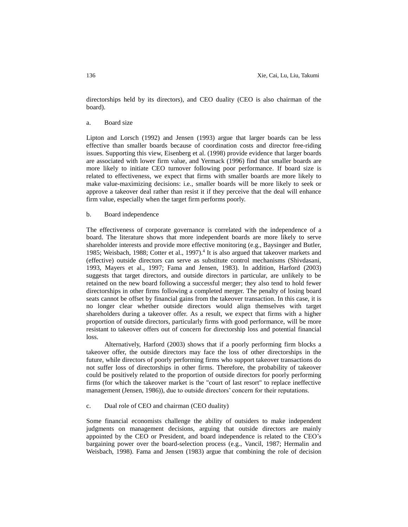directorships held by its directors), and CEO duality (CEO is also chairman of the board).

#### a. Board size

Lipton and Lorsch (1992) and Jensen (1993) argue that larger boards can be less effective than smaller boards because of coordination costs and director free-riding issues. Supporting this view, Eisenberg et al. (1998) provide evidence that larger boards are associated with lower firm value, and Yermack (1996) find that smaller boards are more likely to initiate CEO turnover following poor performance. If board size is related to effectiveness, we expect that firms with smaller boards are more likely to make value-maximizing decisions: i.e., smaller boards will be more likely to seek or approve a takeover deal rather than resist it if they perceive that the deal will enhance firm value, especially when the target firm performs poorly.

## b. Board independence

The effectiveness of corporate governance is correlated with the independence of a board. The literature shows that more independent boards are more likely to serve shareholder interests and provide more effective monitoring (e.g., Baysinger and Butler, 1985; Weisbach, 1988; Cotter et al., 1997).<sup>4</sup> It is also argued that takeover markets and (effective) outside directors can serve as substitute control mechanisms (Shivdasani, 1993, Mayers et al., 1997; Fama and Jensen, 1983). In addition, Harford (2003) suggests that target directors, and outside directors in particular, are unlikely to be retained on the new board following a successful merger; they also tend to hold fewer directorships in other firms following a completed merger. The penalty of losing board seats cannot be offset by financial gains from the takeover transaction. In this case, it is no longer clear whether outside directors would align themselves with target shareholders during a takeover offer. As a result, we expect that firms with a higher proportion of outside directors, particularly firms with good performance, will be more resistant to takeover offers out of concern for directorship loss and potential financial loss.

Alternatively, Harford (2003) shows that if a poorly performing firm blocks a takeover offer, the outside directors may face the loss of other directorships in the future, while directors of poorly performing firms who support takeover transactions do not suffer loss of directorships in other firms. Therefore, the probability of takeover could be positively related to the proportion of outside directors for poorly performing firms (for which the takeover market is the "court of last resort" to replace ineffective management (Jensen, 1986)), due to outside directors' concern for their reputations.

### c. Dual role of CEO and chairman (CEO duality)

Some financial economists challenge the ability of outsiders to make independent judgments on management decisions, arguing that outside directors are mainly appointed by the CEO or President, and board independence is related to the CEO's bargaining power over the board-selection process (e.g., Vancil, 1987; Hermalin and Weisbach, 1998). Fama and Jensen (1983) argue that combining the role of decision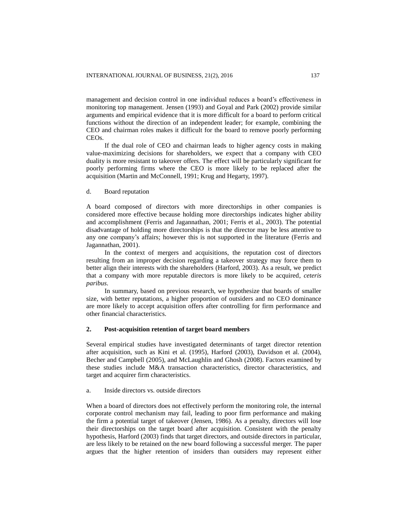management and decision control in one individual reduces a board's effectiveness in monitoring top management. Jensen (1993) and Goyal and Park (2002) provide similar arguments and empirical evidence that it is more difficult for a board to perform critical functions without the direction of an independent leader; for example, combining the CEO and chairman roles makes it difficult for the board to remove poorly performing CEOs.

If the dual role of CEO and chairman leads to higher agency costs in making value-maximizing decisions for shareholders, we expect that a company with CEO duality is more resistant to takeover offers. The effect will be particularly significant for poorly performing firms where the CEO is more likely to be replaced after the acquisition (Martin and McConnell, 1991; Krug and Hegarty, 1997).

## d. Board reputation

A board composed of directors with more directorships in other companies is considered more effective because holding more directorships indicates higher ability and accomplishment (Ferris and Jagannathan, 2001; Ferris et al., 2003). The potential disadvantage of holding more directorships is that the director may be less attentive to any one company's affairs; however this is not supported in the literature (Ferris and Jagannathan, 2001).

In the context of mergers and acquisitions, the reputation cost of directors resulting from an improper decision regarding a takeover strategy may force them to better align their interests with the shareholders (Harford, 2003). As a result, we predict that a company with more reputable directors is more likely to be acquired, *ceteris paribus*.

In summary, based on previous research, we hypothesize that boards of smaller size, with better reputations, a higher proportion of outsiders and no CEO dominance are more likely to accept acquisition offers after controlling for firm performance and other financial characteristics.

# **2. Post-acquisition retention of target board members**

Several empirical studies have investigated determinants of target director retention after acquisition, such as Kini et al. (1995), Harford (2003), Davidson et al. (2004), Becher and Campbell (2005), and McLaughlin and Ghosh (2008). Factors examined by these studies include M&A transaction characteristics, director characteristics, and target and acquirer firm characteristics.

## a. Inside directors vs. outside directors

When a board of directors does not effectively perform the monitoring role, the internal corporate control mechanism may fail, leading to poor firm performance and making the firm a potential target of takeover (Jensen, 1986). As a penalty, directors will lose their directorships on the target board after acquisition. Consistent with the penalty hypothesis, Harford (2003) finds that target directors, and outside directors in particular, are less likely to be retained on the new board following a successful merger. The paper argues that the higher retention of insiders than outsiders may represent either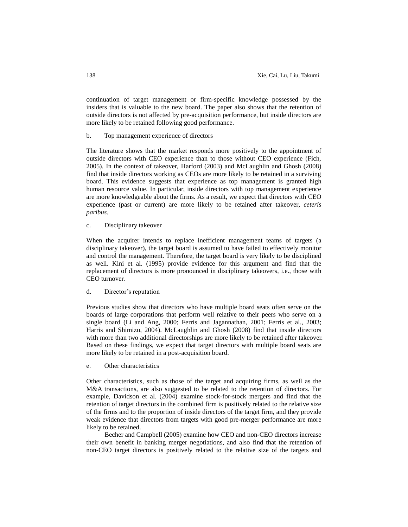continuation of target management or firm-specific knowledge possessed by the insiders that is valuable to the new board. The paper also shows that the retention of outside directors is not affected by pre-acquisition performance, but inside directors are more likely to be retained following good performance.

## b. Top management experience of directors

The literature shows that the market responds more positively to the appointment of outside directors with CEO experience than to those without CEO experience (Fich, 2005). In the context of takeover, Harford (2003) and McLaughlin and Ghosh (2008) find that inside directors working as CEOs are more likely to be retained in a surviving board. This evidence suggests that experience as top management is granted high human resource value. In particular, inside directors with top management experience are more knowledgeable about the firms. As a result, we expect that directors with CEO experience (past or current) are more likely to be retained after takeover, *ceteris paribus*.

c. Disciplinary takeover

When the acquirer intends to replace inefficient management teams of targets (a disciplinary takeover), the target board is assumed to have failed to effectively monitor and control the management. Therefore, the target board is very likely to be disciplined as well. Kini et al. (1995) provide evidence for this argument and find that the replacement of directors is more pronounced in disciplinary takeovers, i.e., those with CEO turnover.

d. Director's reputation

Previous studies show that directors who have multiple board seats often serve on the boards of large corporations that perform well relative to their peers who serve on a single board (Li and Ang, 2000; Ferris and Jagannathan, 2001; Ferris et al., 2003; Harris and Shimizu, 2004). McLaughlin and Ghosh (2008) find that inside directors with more than two additional directorships are more likely to be retained after takeover. Based on these findings, we expect that target directors with multiple board seats are more likely to be retained in a post-acquisition board.

e. Other characteristics

Other characteristics, such as those of the target and acquiring firms, as well as the M&A transactions, are also suggested to be related to the retention of directors. For example, Davidson et al. (2004) examine stock-for-stock mergers and find that the retention of target directors in the combined firm is positively related to the relative size of the firms and to the proportion of inside directors of the target firm, and they provide weak evidence that directors from targets with good pre-merger performance are more likely to be retained.

Becher and Campbell (2005) examine how CEO and non-CEO directors increase their own benefit in banking merger negotiations, and also find that the retention of non-CEO target directors is positively related to the relative size of the targets and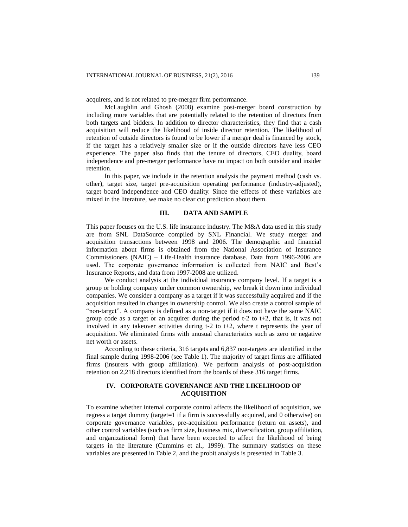acquirers, and is not related to pre-merger firm performance.

McLaughlin and Ghosh (2008) examine post-merger board construction by including more variables that are potentially related to the retention of directors from both targets and bidders. In addition to director characteristics, they find that a cash acquisition will reduce the likelihood of inside director retention. The likelihood of retention of outside directors is found to be lower if a merger deal is financed by stock, if the target has a relatively smaller size or if the outside directors have less CEO experience. The paper also finds that the tenure of directors, CEO duality, board independence and pre-merger performance have no impact on both outsider and insider retention.

In this paper, we include in the retention analysis the payment method (cash vs. other), target size, target pre-acquisition operating performance (industry-adjusted), target board independence and CEO duality. Since the effects of these variables are mixed in the literature, we make no clear cut prediction about them.

# **III. DATA AND SAMPLE**

This paper focuses on the U.S. life insurance industry. The M&A data used in this study are from SNL DataSource compiled by SNL Financial. We study merger and acquisition transactions between 1998 and 2006. The demographic and financial information about firms is obtained from the National Association of Insurance Commissioners (NAIC) – Life-Health insurance database. Data from 1996-2006 are used. The corporate governance information is collected from NAIC and Best's Insurance Reports, and data from 1997-2008 are utilized.

We conduct analysis at the individual insurance company level. If a target is a group or holding company under common ownership, we break it down into individual companies. We consider a company as a target if it was successfully acquired and if the acquisition resulted in changes in ownership control. We also create a control sample of "non-target". A company is defined as a non-target if it does not have the same NAIC group code as a target or an acquirer during the period t-2 to t+2, that is, it was not involved in any takeover activities during t-2 to t+2, where t represents the year of acquisition. We eliminated firms with unusual characteristics such as zero or negative net worth or assets.

According to these criteria, 316 targets and 6,837 non-targets are identified in the final sample during 1998-2006 (see Table 1). The majority of target firms are affiliated firms (insurers with group affiliation). We perform analysis of post-acquisition retention on 2,218 directors identified from the boards of these 316 target firms.

# **IV. CORPORATE GOVERNANCE AND THE LIKELIHOOD OF ACQUISITION**

To examine whether internal corporate control affects the likelihood of acquisition, we regress a target dummy (target=1 if a firm is successfully acquired, and 0 otherwise) on corporate governance variables, pre-acquisition performance (return on assets), and other control variables (such as firm size, business mix, diversification, group affiliation, and organizational form) that have been expected to affect the likelihood of being targets in the literature (Cummins et al., 1999). The summary statistics on these variables are presented in Table 2, and the probit analysis is presented in Table 3.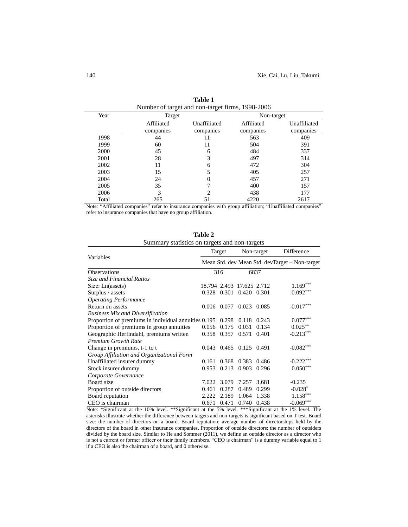| Year  | ° —<br>Target | -0           | Non-target |              |  |
|-------|---------------|--------------|------------|--------------|--|
|       | Affiliated    | Unaffiliated | Affiliated | Unaffiliated |  |
|       | companies     | companies    | companies  | companies    |  |
| 1998  | 44            | 11           | 563        | 409          |  |
| 1999  | 60            | 11           | 504        | 391          |  |
| 2000  | 45            | 6            | 484        | 337          |  |
| 2001  | 28            | 3            | 497        | 314          |  |
| 2002  | 11            | 6            | 472        | 304          |  |
| 2003  | 15            | 5            | 405        | 257          |  |
| 2004  | 24            |              | 457        | 271          |  |
| 2005  | 35            |              | 400        | 157          |  |
| 2006  | 3             | C            | 438        | 177          |  |
| Total | 265           | 51           | 4220       | 2617         |  |

| <b>Table 1</b>                                   |  |  |  |  |  |
|--------------------------------------------------|--|--|--|--|--|
| Number of target and non-target firms, 1998-2006 |  |  |  |  |  |

Note: "Affiliated companies" refer to insurance companies with group affiliation; "Unaffiliated companies" refer to insurance companies that have no group affiliation.

| Summary statistics on targets and non-targets              |             |       |                           |       |                                                |  |
|------------------------------------------------------------|-------------|-------|---------------------------|-------|------------------------------------------------|--|
|                                                            | Target      |       | Non-target                |       | Difference                                     |  |
| Variables                                                  |             |       |                           |       | Mean Std. dev Mean Std. devTarget – Non-target |  |
| <b>Observations</b>                                        |             | 316   |                           | 6837  |                                                |  |
| <b>Size and Financial Ratios</b>                           |             |       |                           |       |                                                |  |
| Size: Ln(assets)                                           |             |       | 18.794 2.493 17.625 2.712 |       | $1.169***$                                     |  |
| Surplus / assets                                           | 0.328 0.301 |       | 0.420 0.301               |       | $-0.092***$                                    |  |
| <b>Operating Performance</b>                               |             |       |                           |       |                                                |  |
| Return on assets                                           | 0.006       | 0.077 | 0.023                     | 0.085 | $-0.017***$                                    |  |
| <b>Business Mix and Diversification</b>                    |             |       |                           |       |                                                |  |
| Proportion of premiums in individual annuities 0.195 0.298 |             |       | 0.118                     | 0.243 | $0.077^{\ast\ast\ast}$                         |  |
| Proportion of premiums in group annuities                  | 0.056       | 0.175 | 0.031                     | 0.134 | $0.025***$                                     |  |
| Geographic Herfindahl, premiums written                    | 0.358       | 0.357 | 0.571                     | 0.401 | $-0.213***$                                    |  |
| <b>Premium Growth Rate</b>                                 |             |       |                           |       |                                                |  |
| Change in premiums, t-1 to t                               | 0.043       |       | 0.465 0.125               | 0.491 | $-0.082***$                                    |  |
| Group Affiliation and Organizational Form                  |             |       |                           |       |                                                |  |
| Unaffiliated insurer dummy                                 | 0.161       | 0.368 | 0.383                     | 0.486 | $-0.222***$                                    |  |
| Stock insurer dummy                                        | 0.953       | 0.213 | 0.903                     | 0.296 | $0.050***$                                     |  |
| Corporate Governance                                       |             |       |                           |       |                                                |  |
| Board size                                                 | 7.022       | 3.079 | 7.257                     | 3.681 | $-0.235$                                       |  |
| Proportion of outside directors                            | 0.461       | 0.287 | 0.489                     | 0.299 | $-0.028*$                                      |  |
| Board reputation                                           | 2.222       | 2.189 | 1.064                     | 1.338 | $1.158***$                                     |  |
| CEO is chairman                                            | 0.671       | 0.471 | 0.740                     | 0.438 | $-0.069***$                                    |  |

**Table 2** Summary statistics on targets and non-targets

Note: \*Significant at the 10% level. \*\*Significant at the 5% level. \*\*\*Significant at the 1% level. The asterisks illustrate whether the difference between targets and non-targets is significant based on T-test. Board size: the number of directors on a board. Board reputation: average number of directorships held by the directors of the board in other insurance companies. Proportion of outside directors: the number of outsiders divided by the board size. Similar to He and Sommer (2011), we define an outside director as a director who is not a current or former officer or their family members. "CEO is chairman" is a dummy variable equal to 1 if a CEO is also the chairman of a board, and 0 otherwise.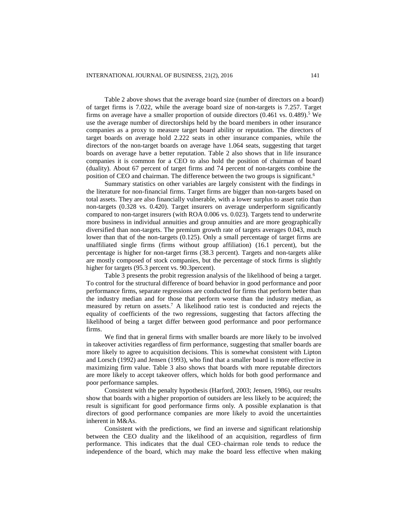Table 2 above shows that the average board size (number of directors on a board) of target firms is 7.022, while the average board size of non-targets is 7.257. Target firms on average have a smaller proportion of outside directors  $(0.461 \text{ vs. } 0.489)$ .<sup>5</sup> We use the average number of directorships held by the board members in other insurance companies as a proxy to measure target board ability or reputation. The directors of target boards on average hold 2.222 seats in other insurance companies, while the directors of the non-target boards on average have 1.064 seats, suggesting that target boards on average have a better reputation. Table 2 also shows that in life insurance companies it is common for a CEO to also hold the position of chairman of board (duality). About 67 percent of target firms and 74 percent of non-targets combine the position of CEO and chairman. The difference between the two groups is significant.<sup>6</sup>

Summary statistics on other variables are largely consistent with the findings in the literature for non-financial firms. Target firms are bigger than non-targets based on total assets. They are also financially vulnerable, with a lower surplus to asset ratio than non-targets (0.328 vs. 0.420). Target insurers on average underperform significantly compared to non-target insurers (with ROA 0.006 vs. 0.023). Targets tend to underwrite more business in individual annuities and group annuities and are more geographically diversified than non-targets. The premium growth rate of targets averages 0.043, much lower than that of the non-targets (0.125). Only a small percentage of target firms are unaffiliated single firms (firms without group affiliation) (16.1 percent), but the percentage is higher for non-target firms (38.3 percent). Targets and non-targets alike are mostly composed of stock companies, but the percentage of stock firms is slightly higher for targets (95.3 percent vs. 90.3 percent).

Table 3 presents the probit regression analysis of the likelihood of being a target. To control for the structural difference of board behavior in good performance and poor performance firms, separate regressions are conducted for firms that perform better than the industry median and for those that perform worse than the industry median, as measured by return on assets. <sup>7</sup> A likelihood ratio test is conducted and rejects the equality of coefficients of the two regressions, suggesting that factors affecting the likelihood of being a target differ between good performance and poor performance firms.

We find that in general firms with smaller boards are more likely to be involved in takeover activities regardless of firm performance, suggesting that smaller boards are more likely to agree to acquisition decisions. This is somewhat consistent with Lipton and Lorsch (1992) and Jensen (1993), who find that a smaller board is more effective in maximizing firm value. Table 3 also shows that boards with more reputable directors are more likely to accept takeover offers, which holds for both good performance and poor performance samples.

Consistent with the penalty hypothesis (Harford, 2003; Jensen, 1986), our results show that boards with a higher proportion of outsiders are less likely to be acquired; the result is significant for good performance firms only. A possible explanation is that directors of good performance companies are more likely to avoid the uncertainties inherent in M&As.

Consistent with the predictions, we find an inverse and significant relationship between the CEO duality and the likelihood of an acquisition, regardless of firm performance. This indicates that the dual CEO–chairman role tends to reduce the independence of the board, which may make the board less effective when making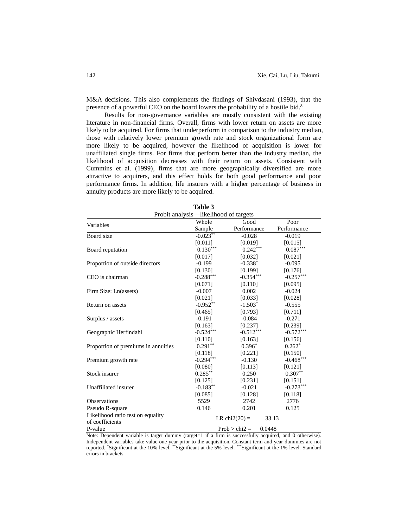M&A decisions. This also complements the findings of Shivdasani (1993), that the presence of a powerful CEO on the board lowers the probability of a hostile bid.<sup>8</sup>

Results for non-governance variables are mostly consistent with the existing literature in non-financial firms. Overall, firms with lower return on assets are more likely to be acquired. For firms that underperform in comparison to the industry median, those with relatively lower premium growth rate and stock organizational form are more likely to be acquired, however the likelihood of acquisition is lower for unaffiliated single firms. For firms that perform better than the industry median, the likelihood of acquisition decreases with their return on assets. Consistent with Cummins et al. (1999), firms that are more geographically diversified are more attractive to acquirers, and this effect holds for both good performance and poor performance firms. In addition, life insurers with a higher percentage of business in annuity products are more likely to be acquired.

| Probit analysis—likelihood of targets |                    |                           |                        |  |  |  |
|---------------------------------------|--------------------|---------------------------|------------------------|--|--|--|
| Variables                             | Whole              | Good                      | Poor                   |  |  |  |
|                                       | Sample             | Performance               | Performance            |  |  |  |
| Board size                            | $-0.023***$        | $-0.028$                  | $-0.019$               |  |  |  |
|                                       | [0.011]            | [0.019]                   | [0.015]                |  |  |  |
| Board reputation                      | $0.130***$         | $0.242***$                | $0.087^{\ast\ast\ast}$ |  |  |  |
|                                       | [0.017]            | [0.032]                   | [0.021]                |  |  |  |
| Proportion of outside directors       | $-0.199$           | $-0.338*$                 | $-0.095$               |  |  |  |
|                                       | [0.130]            | [0.199]                   | [0.176]                |  |  |  |
| CEO is chairman                       | $-0.288***$        | $-0.354***$               | $-0.257***$            |  |  |  |
|                                       | [0.071]            | [0.110]                   | [0.095]                |  |  |  |
| Firm Size: Ln(assets)                 | $-0.007$           | 0.002                     | $-0.024$               |  |  |  |
|                                       | [0.021]            | [0.033]                   | [0.028]                |  |  |  |
| Return on assets                      | $-0.952**$         | $-1.503*$                 |                        |  |  |  |
|                                       | [0.793]<br>[0.465] |                           | [0.711]                |  |  |  |
| Surplus / assets                      | $-0.191$           | $-0.084$                  | $-0.271$               |  |  |  |
|                                       | [0.163]            | [0.237]                   | [0.239]                |  |  |  |
| Geographic Herfindahl                 | $-0.524***$        | $-0.512***$               | $-0.572***$            |  |  |  |
|                                       | [0.110]            | [0.163]                   | [0.156]                |  |  |  |
| Proportion of premiums in annuities   | $0.291**$          | $0.396*$                  | $0.262*$               |  |  |  |
|                                       | [0.118]            | [0.221]                   | [0.150]                |  |  |  |
| Premium growth rate                   | $-0.294***$        | $-0.130$                  | $-0.468***$            |  |  |  |
|                                       | [0.080]            | [0.113]                   | [0.121]                |  |  |  |
| Stock insurer                         | $0.285***$         | 0.250                     | $0.307**$              |  |  |  |
|                                       | [0.125]            | [0.231]                   | [0.151]                |  |  |  |
| Unaffiliated insurer                  | $-0.183**$         | $-0.021$                  | $-0.273***$            |  |  |  |
|                                       | [0.085]            | [0.128]                   | [0.118]                |  |  |  |
| Observations                          | 5529               | 2742                      | 2776                   |  |  |  |
| Pseudo R-square                       | 0.146              | 0.201                     | 0.125                  |  |  |  |
| Likelihood ratio test on equality     |                    | LR chi $2(20)$ =          | 33.13                  |  |  |  |
| of coefficients                       |                    |                           |                        |  |  |  |
| P-value                               |                    | 0.0448<br>$Prob > chi2 =$ |                        |  |  |  |

| Table 3 |  |                          |  |  |  |  |
|---------|--|--------------------------|--|--|--|--|
|         |  | 1.11.11.11.11.11.11.04.1 |  |  |  |  |

Note: Dependent variable is target dummy (target=1 if a firm is successfully acquired, and 0 otherwise). Independent variables take value one year prior to the acquisition. Constant term and year dummies are not reported. \*Significant at the 10% level. \*\*Significant at the 5% level. \*\*\*Significant at the 1% level. Standard errors in brackets.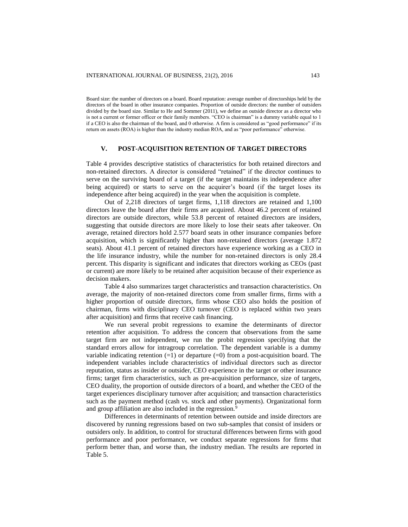Board size: the number of directors on a board. Board reputation: average number of directorships held by the directors of the board in other insurance companies. Proportion of outside directors: the number of outsiders divided by the board size. Similar to He and Sommer (2011), we define an outside director as a director who is not a current or former officer or their family members. "CEO is chairman" is a dummy variable equal to 1 if a CEO is also the chairman of the board, and 0 otherwise. A firm is considered as "good performance" if its return on assets (ROA) is higher than the industry median ROA, and as "poor performance" otherwise.

## **V. POST-ACQUISITION RETENTION OF TARGET DIRECTORS**

Table 4 provides descriptive statistics of characteristics for both retained directors and non-retained directors. A director is considered "retained" if the director continues to serve on the surviving board of a target (if the target maintains its independence after being acquired) or starts to serve on the acquirer's board (if the target loses its independence after being acquired) in the year when the acquisition is complete.

Out of 2,218 directors of target firms, 1,118 directors are retained and 1,100 directors leave the board after their firms are acquired. About 46.2 percent of retained directors are outside directors, while 53.8 percent of retained directors are insiders, suggesting that outside directors are more likely to lose their seats after takeover. On average, retained directors hold 2.577 board seats in other insurance companies before acquisition, which is significantly higher than non-retained directors (average 1.872 seats). About 41.1 percent of retained directors have experience working as a CEO in the life insurance industry, while the number for non-retained directors is only 28.4 percent. This disparity is significant and indicates that directors working as CEOs (past or current) are more likely to be retained after acquisition because of their experience as decision makers.

Table 4 also summarizes target characteristics and transaction characteristics. On average, the majority of non-retained directors come from smaller firms, firms with a higher proportion of outside directors, firms whose CEO also holds the position of chairman, firms with disciplinary CEO turnover (CEO is replaced within two years after acquisition) and firms that receive cash financing.

We run several probit regressions to examine the determinants of director retention after acquisition. To address the concern that observations from the same target firm are not independent, we run the probit regression specifying that the standard errors allow for intragroup correlation. The dependent variable is a dummy variable indicating retention  $(=1)$  or departure  $(=0)$  from a post-acquisition board. The independent variables include characteristics of individual directors such as director reputation, status as insider or outsider, CEO experience in the target or other insurance firms; target firm characteristics, such as pre-acquisition performance, size of targets, CEO duality, the proportion of outside directors of a board, and whether the CEO of the target experiences disciplinary turnover after acquisition; and transaction characteristics such as the payment method (cash vs. stock and other payments). Organizational form and group affiliation are also included in the regression.<sup>9</sup>

Differences in determinants of retention between outside and inside directors are discovered by running regressions based on two sub-samples that consist of insiders or outsiders only. In addition, to control for structural differences between firms with good performance and poor performance, we conduct separate regressions for firms that perform better than, and worse than, the industry median. The results are reported in Table 5.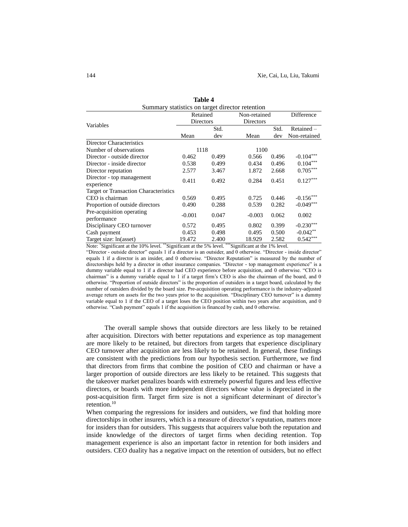| Summary statistics on target director retention |                       |       |                           |       |                        |  |  |
|-------------------------------------------------|-----------------------|-------|---------------------------|-------|------------------------|--|--|
| Variables                                       | Retained<br>Directors |       | Non-retained<br>Directors |       | Difference             |  |  |
|                                                 |                       | Std.  |                           | Std.  | $Retained -$           |  |  |
|                                                 | Mean                  | dev   | Mean                      | dev   | Non-retained           |  |  |
| Director Characteristics                        |                       |       |                           |       |                        |  |  |
| Number of observations                          |                       | 1118  | 1100                      |       |                        |  |  |
| Director - outside director                     | 0.462                 | 0.499 | 0.566                     | 0.496 | $-0.104***$            |  |  |
| Director - inside director                      | 0.538                 | 0.499 | 0.434                     | 0.496 | $0.104***$             |  |  |
| Director reputation                             | 2.577                 | 3.467 | 1.872                     | 2.668 | $0.705^{\ast\ast\ast}$ |  |  |
| Director - top management<br>experience         | 0.411                 | 0.492 | 0.284                     | 0.451 | $0.127***$             |  |  |
| Target or Transaction Characteristics           |                       |       |                           |       |                        |  |  |
| CEO is chairman                                 | 0.569                 | 0.495 | 0.725                     | 0.446 | $-0.156***$            |  |  |
| Proportion of outside directors                 | 0.490                 | 0.288 | 0.539                     | 0.282 | $-0.049***$            |  |  |
| Pre-acquisition operating<br>performance        | $-0.001$              | 0.047 | $-0.003$                  | 0.062 | 0.002                  |  |  |
| Disciplinary CEO turnover                       | 0.572                 | 0.495 | 0.802                     | 0.399 | $-0.230***$            |  |  |
| Cash payment                                    | 0.453                 | 0.498 | 0.495                     | 0.500 | $-0.042**$             |  |  |
| Target size: ln(asset)                          | 19.472                | 2.400 | 18.929                    | 2.582 | $0.542***$             |  |  |

| <b>Table 4</b>                               |  |  |  |  |  |
|----------------------------------------------|--|--|--|--|--|
| nery statistics on tergot director retantion |  |  |  |  |  |

Note: \*Significant at the 10% level. \*\*Significant at the 5% level. \*\*\*Significant at the 1% level.

"Director - outside director" equals 1 if a director is an outsider, and 0 otherwise. "Director - inside director" equals 1 if a director is an insider, and 0 otherwise. "Director Reputation" is measured by the number of directorships held by a director in other insurance companies. "Director - top management experience" is a dummy variable equal to 1 if a director had CEO experience before acquisition, and 0 otherwise. "CEO is chairman" is a dummy variable equal to 1 if a target firm's CEO is also the chairman of the board, and 0 otherwise. "Proportion of outside directors" is the proportion of outsiders in a target board, calculated by the number of outsiders divided by the board size. Pre-acquisition operating performance is the industry-adjusted average return on assets for the two years prior to the acquisition. "Disciplinary CEO turnover" is a dummy variable equal to 1 if the CEO of a target loses the CEO position within two years after acquisition, and 0 otherwise. "Cash payment" equals 1 if the acquisition is financed by cash, and 0 otherwise.

The overall sample shows that outside directors are less likely to be retained after acquisition. Directors with better reputations and experience as top management are more likely to be retained, but directors from targets that experience disciplinary CEO turnover after acquisition are less likely to be retained. In general, these findings are consistent with the predictions from our hypothesis section. Furthermore, we find that directors from firms that combine the position of CEO and chairman or have a larger proportion of outside directors are less likely to be retained. This suggests that the takeover market penalizes boards with extremely powerful figures and less effective directors, or boards with more independent directors whose value is depreciated in the post-acquisition firm. Target firm size is not a significant determinant of director's retention.<sup>10</sup>

When comparing the regressions for insiders and outsiders, we find that holding more directorships in other insurers, which is a measure of director's reputation, matters more for insiders than for outsiders. This suggests that acquirers value both the reputation and inside knowledge of the directors of target firms when deciding retention. Top management experience is also an important factor in retention for both insiders and outsiders. CEO duality has a negative impact on the retention of outsiders, but no effect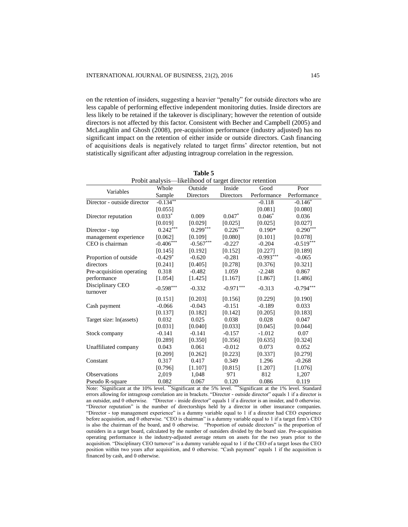on the retention of insiders, suggesting a heavier "penalty" for outside directors who are less capable of performing effective independent monitoring duties. Inside directors are less likely to be retained if the takeover is disciplinary; however the retention of outside directors is not affected by this factor. Consistent with Becher and Campbell (2005) and McLaughlin and Ghosh (2008), pre-acquisition performance (industry adjusted) has no significant impact on the retention of either inside or outside directors. Cash financing of acquisitions deals is negatively related to target firms' director retention, but not statistically significant after adjusting intragroup correlation in the regression.

| Probit analysis—likelihood of target director retention |             |             |                        |             |             |  |  |
|---------------------------------------------------------|-------------|-------------|------------------------|-------------|-------------|--|--|
| Variables                                               | Whole       | Outside     | Inside                 | Good        | Poor        |  |  |
|                                                         | Sample      | Directors   | Directors              | Performance | Performance |  |  |
| Director - outside director                             | $-0.134***$ |             |                        | $-0.118$    | $-0.146*$   |  |  |
|                                                         | [0.055]     |             |                        | [0.081]     | [0.080]     |  |  |
| Director reputation                                     | $0.033*$    | 0.009       | $0.047*$               | $0.046*$    | 0.036       |  |  |
|                                                         | [0.019]     | [0.029]     | [0.025]                | [0.025]     | [0.027]     |  |  |
| Director - top                                          | $0.242***$  | $0.299***$  | $0.226^{\ast\ast\ast}$ | $0.190*$    | $0.290***$  |  |  |
| management experience                                   | [0.062]     | [0.109]     | [0.080]                | [0.101]     | [0.078]     |  |  |
| CEO is chairman                                         | $-0.406***$ | $-0.567***$ | $-0.227$               | $-0.204$    | $-0.519***$ |  |  |
|                                                         | [0.145]     | [0.192]     | [0.152]                | [0.227]     | [0.189]     |  |  |
| Proportion of outside                                   | $-0.429*$   | $-0.620$    | $-0.281$               | $-0.993***$ | $-0.065$    |  |  |
| directors                                               | [0.241]     | [0.405]     | [0.278]                | [0.376]     | [0.321]     |  |  |
| Pre-acquisition operating                               | 0.318       | $-0.482$    | 1.059                  | $-2.248$    | 0.867       |  |  |
| performance                                             | [1.054]     | [1.425]     | [1.167]                | [1.867]     | [1.486]     |  |  |
| Disciplinary CEO<br>turnover                            | $-0.598***$ | $-0.332$    | $-0.971***$            | $-0.313$    | $-0.794***$ |  |  |
|                                                         | [0.151]     | [0.203]     | [0.156]                | [0.229]     | [0.190]     |  |  |
| Cash payment                                            | $-0.066$    | $-0.043$    | $-0.151$               | $-0.189$    | 0.033       |  |  |
|                                                         | [0.137]     | [0.182]     | [0.142]                | [0.205]     | [0.183]     |  |  |
| Target size: ln(assets)                                 | 0.032       | 0.025       | 0.038                  | 0.028       | 0.047       |  |  |
|                                                         | [0.031]     | [0.040]     | [0.033]                | [0.045]     | [0.044]     |  |  |
| Stock company                                           | $-0.141$    | $-0.141$    | $-0.157$               | $-1.012$    | 0.07        |  |  |
|                                                         | [0.289]     | [0.350]     | [0.356]                | [0.635]     | [0.324]     |  |  |
| Unaffiliated company                                    | 0.043       | 0.061       | $-0.012$               | 0.073       | 0.052       |  |  |
|                                                         | [0.209]     | [0.262]     | [0.223]                | [0.337]     | [0.279]     |  |  |
| Constant                                                | 0.317       | 0.417       | 0.349                  | 1.296       | $-0.268$    |  |  |
|                                                         | [0.796]     | [1.107]     | [0.815]                | [1.207]     | [1.076]     |  |  |
| Observations                                            | 2,019       | 1,048       | 971                    | 812         | 1,207       |  |  |
| Pseudo R-square                                         | 0.082       | 0.067       | 0.120                  | 0.086       | 0.119       |  |  |

**Table 5**

Note: \*Significant at the 10% level. \*\*Significant at the 5% level. \*\*\*Significant at the 1% level. Standard errors allowing for intragroup correlation are in brackets. "Director - outside director" equals 1 if a director is an outsider, and 0 otherwise. "Director - inside director" equals 1 if a director is an insider, and 0 otherwise. "Director reputation" is the number of directorships held by a director in other insurance companies. "Director - top management experience" is a dummy variable equal to 1 if a director had CEO experience before acquisition, and 0 otherwise. "CEO is chairman" is a dummy variable equal to 1 if a target firm's CEO is also the chairman of the board, and 0 otherwise. "Proportion of outside directors" is the proportion of outsiders in a target board, calculated by the number of outsiders divided by the board size. Pre-acquisition operating performance is the industry-adjusted average return on assets for the two years prior to the acquisition. "Disciplinary CEO turnover" is a dummy variable equal to 1 if the CEO of a target loses the CEO position within two years after acquisition, and 0 otherwise. "Cash payment" equals 1 if the acquisition is financed by cash, and 0 otherwise.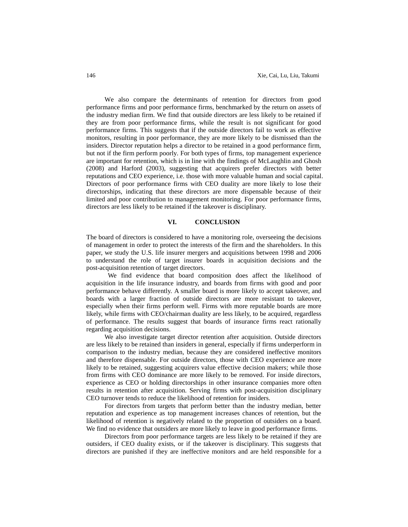We also compare the determinants of retention for directors from good performance firms and poor performance firms, benchmarked by the return on assets of the industry median firm. We find that outside directors are less likely to be retained if they are from poor performance firms, while the result is not significant for good performance firms. This suggests that if the outside directors fail to work as effective monitors, resulting in poor performance, they are more likely to be dismissed than the insiders. Director reputation helps a director to be retained in a good performance firm, but not if the firm perform poorly. For both types of firms, top management experience are important for retention, which is in line with the findings of McLaughlin and Ghosh (2008) and Harford (2003), suggesting that acquirers prefer directors with better reputations and CEO experience, i.e. those with more valuable human and social capital. Directors of poor performance firms with CEO duality are more likely to lose their directorships, indicating that these directors are more dispensable because of their limited and poor contribution to management monitoring. For poor performance firms, directors are less likely to be retained if the takeover is disciplinary.

#### **VI. CONCLUSION**

The board of directors is considered to have a monitoring role, overseeing the decisions of management in order to protect the interests of the firm and the shareholders. In this paper, we study the U.S. life insurer mergers and acquisitions between 1998 and 2006 to understand the role of target insurer boards in acquisition decisions and the post-acquisition retention of target directors.

We find evidence that board composition does affect the likelihood of acquisition in the life insurance industry, and boards from firms with good and poor performance behave differently. A smaller board is more likely to accept takeover, and boards with a larger fraction of outside directors are more resistant to takeover, especially when their firms perform well. Firms with more reputable boards are more likely, while firms with CEO/chairman duality are less likely, to be acquired, regardless of performance. The results suggest that boards of insurance firms react rationally regarding acquisition decisions.

We also investigate target director retention after acquisition. Outside directors are less likely to be retained than insiders in general, especially if firms underperform in comparison to the industry median, because they are considered ineffective monitors and therefore dispensable. For outside directors, those with CEO experience are more likely to be retained, suggesting acquirers value effective decision makers; while those from firms with CEO dominance are more likely to be removed. For inside directors, experience as CEO or holding directorships in other insurance companies more often results in retention after acquisition. Serving firms with post-acquisition disciplinary CEO turnover tends to reduce the likelihood of retention for insiders.

For directors from targets that perform better than the industry median, better reputation and experience as top management increases chances of retention, but the likelihood of retention is negatively related to the proportion of outsiders on a board. We find no evidence that outsiders are more likely to leave in good performance firms.

Directors from poor performance targets are less likely to be retained if they are outsiders, if CEO duality exists, or if the takeover is disciplinary. This suggests that directors are punished if they are ineffective monitors and are held responsible for a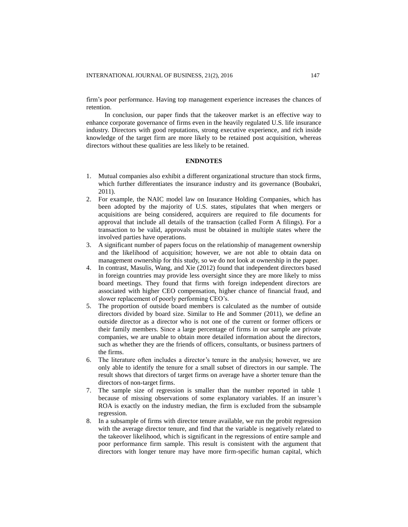firm's poor performance. Having top management experience increases the chances of retention.

In conclusion, our paper finds that the takeover market is an effective way to enhance corporate governance of firms even in the heavily regulated U.S. life insurance industry. Directors with good reputations, strong executive experience, and rich inside knowledge of the target firm are more likely to be retained post acquisition, whereas directors without these qualities are less likely to be retained.

# **ENDNOTES**

- 1. Mutual companies also exhibit a different organizational structure than stock firms, which further differentiates the insurance industry and its governance (Boubakri, 2011).
- 2. For example, the NAIC model law on Insurance Holding Companies, which has been adopted by the majority of U.S. states, stipulates that when mergers or acquisitions are being considered, acquirers are required to file documents for approval that include all details of the transaction (called Form A filings). For a transaction to be valid, approvals must be obtained in multiple states where the involved parties have operations.
- 3. A significant number of papers focus on the relationship of management ownership and the likelihood of acquisition; however, we are not able to obtain data on management ownership for this study, so we do not look at ownership in the paper.
- 4. In contrast, Masulis, Wang, and Xie (2012) found that independent directors based in foreign countries may provide less oversight since they are more likely to miss board meetings. They found that firms with foreign independent directors are associated with higher CEO compensation, higher chance of financial fraud, and slower replacement of poorly performing CEO's.
- 5. The proportion of outside board members is calculated as the number of outside directors divided by board size. Similar to He and Sommer (2011), we define an outside director as a director who is not one of the current or former officers or their family members. Since a large percentage of firms in our sample are private companies, we are unable to obtain more detailed information about the directors, such as whether they are the friends of officers, consultants, or business partners of the firms.
- 6. The literature often includes a director's tenure in the analysis; however, we are only able to identify the tenure for a small subset of directors in our sample. The result shows that directors of target firms on average have a shorter tenure than the directors of non-target firms.
- 7. The sample size of regression is smaller than the number reported in table 1 because of missing observations of some explanatory variables. If an insurer's ROA is exactly on the industry median, the firm is excluded from the subsample regression.
- 8. In a subsample of firms with director tenure available, we run the probit regression with the average director tenure, and find that the variable is negatively related to the takeover likelihood, which is significant in the regressions of entire sample and poor performance firm sample. This result is consistent with the argument that directors with longer tenure may have more firm-specific human capital, which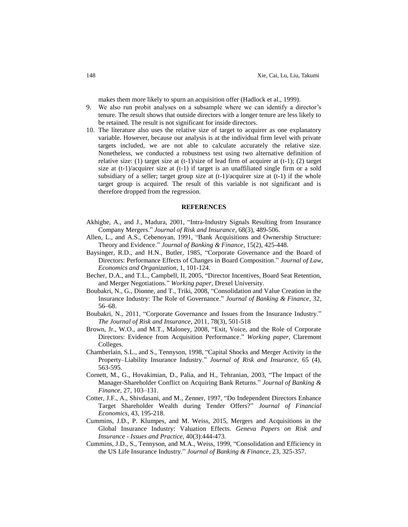makes them more likely to spurn an acquisition offer (Hadlock et al., 1999).

- 9. We also run probit analyses on a subsample where we can identify a director's tenure. The result shows that outside directors with a longer tenure are less likely to be retained. The result is not significant for inside directors.
- 10. The literature also uses the relative size of target to acquirer as one explanatory variable. However, because our analysis is at the individual firm level with private targets included, we are not able to calculate accurately the relative size. Nonetheless, we conducted a robustness test using two alternative definition of relative size: (1) target size at  $(t-1)/size$  of lead firm of acquirer at  $(t-1)$ ; (2) target size at (t-1)/acquirer size at (t-1) if target is an unaffiliated single firm or a sold subsidiary of a seller; target group size at  $(t-1)/ac$  quirer size at  $(t-1)$  if the whole target group is acquired. The result of this variable is not significant and is therefore dropped from the regression.

# **REFERENCES**

- Akhigbe, A., and J., Madura, 2001, "Intra-Industry Signals Resulting from Insurance Company Mergers." *Journal of Risk and Insurance*, 68(3), 489-506.
- Allen, L., and A.S., Cebenoyan, 1991, "Bank Acquisitions and Ownership Structure: Theory and Evidence." *Journal of Banking & Finance*, 15(2), 425-448.
- Baysinger, R.D., and H.N., Butler, 1985, "Corporate Governance and the Board of Directors: Performance Effects of Changes in Board Composition." *Journal of Law, Economics and Organization*, 1, 101-124.
- Becher, D.A., and T.L., Campbell, II, 2005, "Director Incentives, Board Seat Retention, and Merger Negotiations." *Working paper,* Drexel University.
- Boubakri, N., G., Dionne, and T., Triki, 2008, "Consolidation and Value Creation in the Insurance Industry: The Role of Governance." *Journal of Banking & Finance*, 32, 56–68.
- Boubakri, N., 2011, "Corporate Governance and Issues from the Insurance Industry." *The Journal of Risk and Insurance*, 2011, 78(3), 501-518
- Brown, Jr., W.O., and M.T., Maloney, 2008, ["Exit, Voice, and the Role of Corporate](http://econ.claremontmckenna.edu/papers/1999-27.pdf)  [Directors: Evidence from Acquisition Performance.](http://econ.claremontmckenna.edu/papers/1999-27.pdf)" *Working paper,* Claremont Colleges.
- Chamberlain, S.L., and S., Tennyson, 1998, "Capital Shocks and Merger Activity in the Property–Liability Insurance Industry." *Journal of Risk and Insurance,* 65 (4), 563-595.
- Cornett, M., G., Hovakimian, D., Palia, and H., Tehranian, 2003, "The Impact of the Manager-Shareholder Conflict on Acquiring Bank Returns." *Journal of Banking & Finance*, 27, 103–131.
- Cotter, J.F., A., Shivdasani, and M., Zenner, 1997, "Do Independent Directors Enhance Target Shareholder Wealth during Tender Offers?" *Journal of Financial Economics*, 43, 195-218.
- Cummins, J.D., P. Klumpes, and M. Weiss, 2015, Mergers and Acquisitions in the Global Insurance Industry: Valuation Effects. *Geneva Papers on Risk and Insurance - Issues and Practice,* 40(3):444-473.
- Cummins, J.D., S., Tennyson, and M.A., Weiss, 1999, "Consolidation and Efficiency in the US Life Insurance Industry." *Journal of Banking & Finance*, 23, 325-357.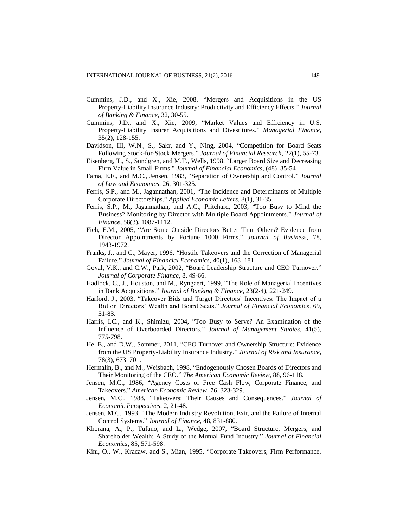- Cummins, J.D., and X., Xie, 2008, "Mergers and Acquisitions in the US Property-Liability Insurance Industry: Productivity and Efficiency Effects." *Journal of Banking & Finance,* 32, 30-55.
- Cummins, J.D., and X., Xie, 2009, "Market Values and Efficiency in U.S. Property-Liability Insurer Acquisitions and Divestitures." *Managerial Finance*, 35(2), 128-155.
- Davidson, III, W.N., S., Sakr, and Y., Ning, 2004, "Competition for Board Seats Following Stock-for-Stock Mergers." *Journal of Financial Research*, 27(1), 55-73.
- Eisenberg, T., S., Sundgren, and M.T., Wells, 1998, "Larger Board Size and Decreasing Firm Value in Small Firms." *Journal of Financial Economics*, (48), 35-54.
- Fama, E.F., and M.C., Jensen, 1983, "Separation of Ownership and Control." *Journal of Law and Economics*, 26, 301-325.
- Ferris, S.P., and M., Jagannathan, 2001, "The Incidence and Determinants of Multiple Corporate Directorships." *Applied Economic Letters*, 8(1), 31-35.
- Ferris, S.P., M., Jagannathan, and A.C., Pritchard, 2003, "Too Busy to Mind the Business? Monitoring by Director with Multiple Board Appointments." *Journal of Finance*, 58(3), 1087-1112.
- Fich, E.M., 2005, "Are Some Outside Directors Better Than Others? Evidence from Director Appointments by Fortune 1000 Firms." *Journal of Business*, 78, 1943-1972.
- Franks, J., and C., Mayer, 1996, "Hostile Takeovers and the Correction of Managerial Failure." *Journal of Financial Economics*, 40(1), 163–181.
- Goyal, V.K., and C.W., Park, 2002, "Board Leadership Structure and CEO Turnover." *Journal of Corporate Finance*, 8, 49-66.
- Hadlock, C., J., Houston, and M., Ryngaert, 1999, "The Role of Managerial Incentives in Bank Acquisitions." *Journal of Banking & Finance*, 23(2-4), 221-249.
- Harford, J., 2003, "Takeover Bids and Target Directors' Incentives: The Impact of a Bid on Directors' Wealth and Board Seats." *Journal of Financial Economics*, 69, 51-83.
- Harris, I.C., and K., Shimizu, 2004, "Too Busy to Serve? An Examination of the Influence of Overboarded Directors." *Journal of Management Studies*, 41(5), 775-798.
- He, E., and D.W., Sommer, 2011, "CEO Turnover and Ownership Structure: Evidence from the US Property-Liability Insurance Industry." *Journal of Risk and Insurance*, 78(3), 673–701.
- Hermalin, B., and M., Weisbach, 1998, "Endogenously Chosen Boards of Directors and Their Monitoring of the CEO." *The American Economic Review*, 88, 96-118.
- Jensen, M.C., 1986, "Agency Costs of Free Cash Flow, Corporate Finance, and Takeovers." *American Economic Review*, 76, 323-329.
- Jensen, M.C., 1988, "Takeovers: Their Causes and Consequences." *Journal of Economic Perspectives*, 2, 21-48.
- Jensen, M.C., 1993, "The Modern Industry Revolution, Exit, and the Failure of Internal Control Systems." *Journal of Finance*, 48, 831-880.
- Khorana, A., P., Tufano, and L., Wedge, 2007, "Board Structure, Mergers, and Shareholder Wealth: A Study of the Mutual Fund Industry." *Journal of Financial Economics*, 85, 571-598.
- Kini, O., W., Kracaw, and S., Mian, 1995, "Corporate Takeovers, Firm Performance,